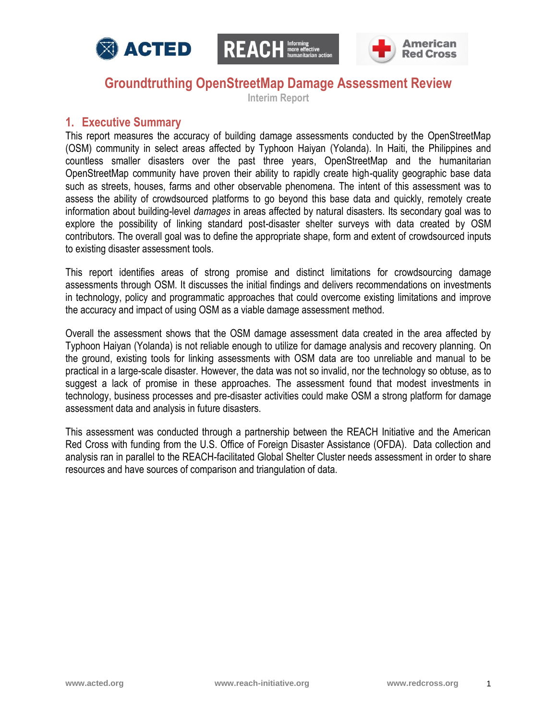





## **Groundtruthing OpenStreetMap Damage Assessment Review**

**Interim Report**

### **1. Executive Summary**

This report measures the accuracy of building damage assessments conducted by the OpenStreetMap (OSM) community in select areas affected by Typhoon Haiyan (Yolanda). In Haiti, the Philippines and countless smaller disasters over the past three years, OpenStreetMap and the humanitarian OpenStreetMap community have proven their ability to rapidly create high-quality geographic base data such as streets, houses, farms and other observable phenomena. The intent of this assessment was to assess the ability of crowdsourced platforms to go beyond this base data and quickly, remotely create information about building-level *damages* in areas affected by natural disasters. Its secondary goal was to explore the possibility of linking standard post-disaster shelter surveys with data created by OSM contributors. The overall goal was to define the appropriate shape, form and extent of crowdsourced inputs to existing disaster assessment tools.

This report identifies areas of strong promise and distinct limitations for crowdsourcing damage assessments through OSM. It discusses the initial findings and delivers recommendations on investments in technology, policy and programmatic approaches that could overcome existing limitations and improve the accuracy and impact of using OSM as a viable damage assessment method.

Overall the assessment shows that the OSM damage assessment data created in the area affected by Typhoon Haiyan (Yolanda) is not reliable enough to utilize for damage analysis and recovery planning. On the ground, existing tools for linking assessments with OSM data are too unreliable and manual to be practical in a large-scale disaster. However, the data was not so invalid, nor the technology so obtuse, as to suggest a lack of promise in these approaches. The assessment found that modest investments in technology, business processes and pre-disaster activities could make OSM a strong platform for damage assessment data and analysis in future disasters.

This assessment was conducted through a partnership between the REACH Initiative and the American Red Cross with funding from the U.S. Office of Foreign Disaster Assistance (OFDA). Data collection and analysis ran in parallel to the REACH-facilitated Global Shelter Cluster needs assessment in order to share resources and have sources of comparison and triangulation of data.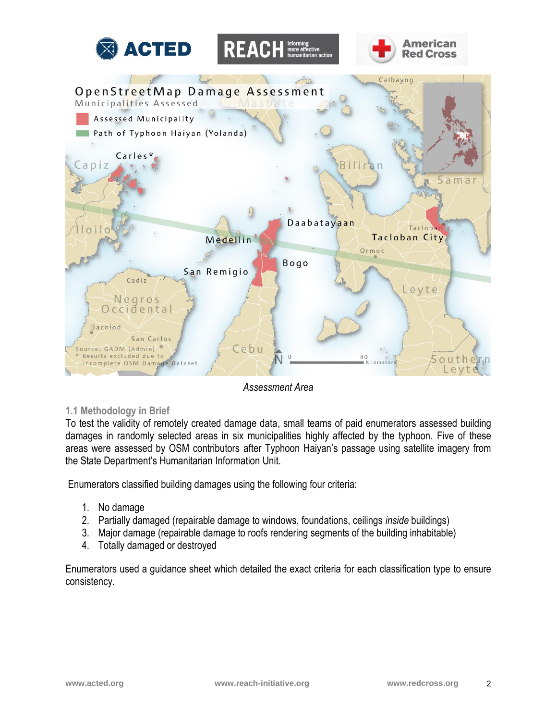







*Assessment Area*

#### **1.1 Methodology in Brief**

To test the validity of remotely created damage data, small teams of paid enumerators assessed building damages in randomly selected areas in six municipalities highly affected by the typhoon. Five of these areas were assessed by OSM contributors after Typhoon Haiyan's passage using satellite imagery from the State Department's Humanitarian Information Unit.

Enumerators classified building damages using the following four criteria:

- 1. No damage
- 2. Partially damaged (repairable damage to windows, foundations, ceilings *inside* buildings)
- 3. Major damage (repairable damage to roofs rendering segments of the building inhabitable)
- 4. Totally damaged or destroyed

Enumerators used a guidance sheet which detailed the exact criteria for each classification type to ensure consistency.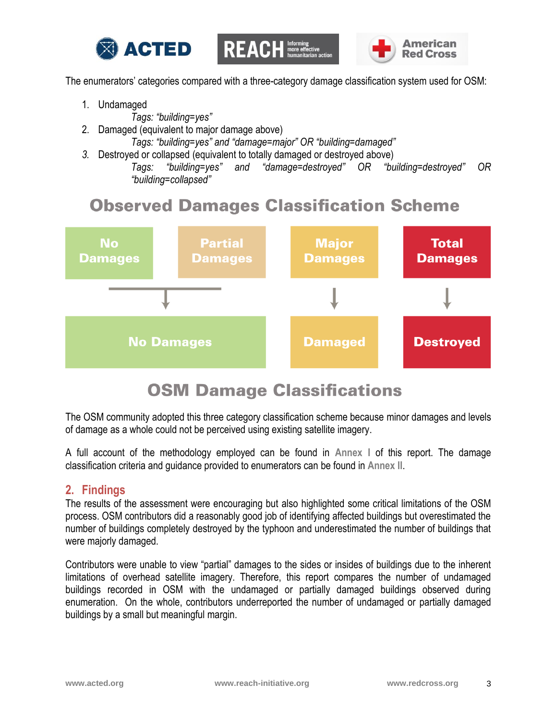



The enumerators' categories compared with a three-category damage classification system used for OSM:

- 1. Undamaged
	- *Tags: "building=yes"*
- 2. Damaged (equivalent to major damage above)

*Tags: "building=yes" and "damage=major" OR "building=damaged"*

*3.* Destroyed or collapsed (equivalent to totally damaged or destroyed above)

*Tags: "building=yes" and "damage=destroyed" OR "building=destroyed" OR "building=collapsed"*

# **Observed Damages Classification Scheme**



# **OSM Damage Classifications**

The OSM community adopted this three category classification scheme because minor damages and levels of damage as a whole could not be perceived using existing satellite imagery.

A full account of the methodology employed can be found in **Annex I** of this report. The damage classification criteria and guidance provided to enumerators can be found in **Annex II**.

## **2. Findings**

The results of the assessment were encouraging but also highlighted some critical limitations of the OSM process. OSM contributors did a reasonably good job of identifying affected buildings but overestimated the number of buildings completely destroyed by the typhoon and underestimated the number of buildings that were majorly damaged.

Contributors were unable to view "partial" damages to the sides or insides of buildings due to the inherent limitations of overhead satellite imagery. Therefore, this report compares the number of undamaged buildings recorded in OSM with the undamaged or partially damaged buildings observed during enumeration. On the whole, contributors underreported the number of undamaged or partially damaged buildings by a small but meaningful margin.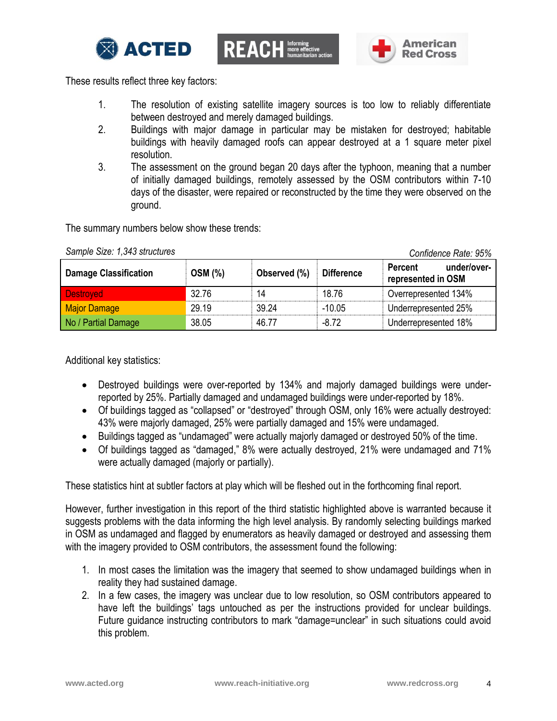



These results reflect three key factors:

- 1. The resolution of existing satellite imagery sources is too low to reliably differentiate between destroyed and merely damaged buildings.
- 2. Buildings with major damage in particular may be mistaken for destroyed; habitable buildings with heavily damaged roofs can appear destroyed at a 1 square meter pixel resolution.
- 3. The assessment on the ground began 20 days after the typhoon, meaning that a number of initially damaged buildings, remotely assessed by the OSM contributors within 7-10 days of the disaster, were repaired or reconstructed by the time they were observed on the ground.

The summary numbers below show these trends:

| <b>Damage Classification</b> | <b>OSM (%)</b> | Observed (%) | <b>Difference</b> | <u>UUIIIIUUIIUU INUIU. UU /U</u><br>under/over-<br><b>Percent</b><br>represented in OSM |
|------------------------------|----------------|--------------|-------------------|-----------------------------------------------------------------------------------------|
| <b>Destroyed</b>             | 32.76          | 14           | 18.76             | Overrepresented 134%                                                                    |
| Major Damage                 | 29.19          | 39.24        | $-10.05$          | Underrepresented 25%                                                                    |
| No / Partial Damage          | 38.05          | 46.77        | $-8.72$           | Underrepresented 18%                                                                    |

*Sample Size: 1,343 structures Confidence Rate: 95%*

Additional key statistics:

- Destroyed buildings were over-reported by 134% and majorly damaged buildings were underreported by 25%. Partially damaged and undamaged buildings were under-reported by 18%.
- Of buildings tagged as "collapsed" or "destroyed" through OSM, only 16% were actually destroyed: 43% were majorly damaged, 25% were partially damaged and 15% were undamaged.
- Buildings tagged as "undamaged" were actually majorly damaged or destroyed 50% of the time.
- Of buildings tagged as "damaged," 8% were actually destroyed, 21% were undamaged and 71% were actually damaged (majorly or partially).

These statistics hint at subtler factors at play which will be fleshed out in the forthcoming final report.

However, further investigation in this report of the third statistic highlighted above is warranted because it suggests problems with the data informing the high level analysis. By randomly selecting buildings marked in OSM as undamaged and flagged by enumerators as heavily damaged or destroyed and assessing them with the imagery provided to OSM contributors, the assessment found the following:

- 1. In most cases the limitation was the imagery that seemed to show undamaged buildings when in reality they had sustained damage.
- 2. In a few cases, the imagery was unclear due to low resolution, so OSM contributors appeared to have left the buildings' tags untouched as per the instructions provided for unclear buildings. Future guidance instructing contributors to mark "damage=unclear" in such situations could avoid this problem.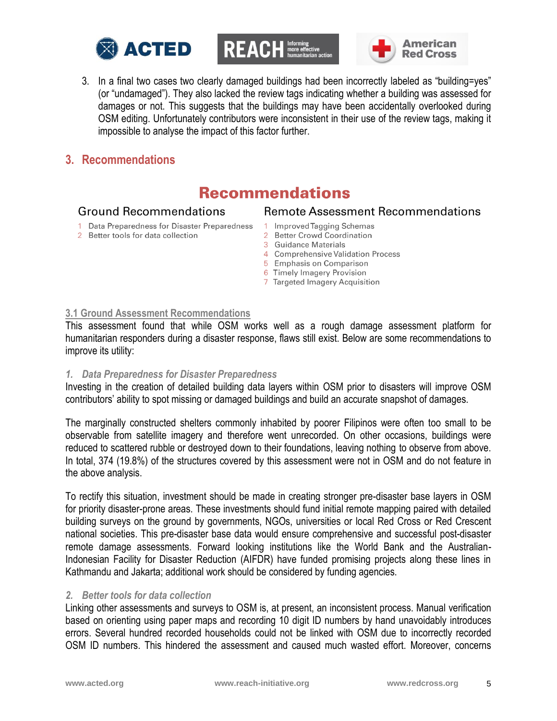





3. In a final two cases two clearly damaged buildings had been incorrectly labeled as "building=yes" (or "undamaged"). They also lacked the review tags indicating whether a building was assessed for damages or not. This suggests that the buildings may have been accidentally overlooked during OSM editing. Unfortunately contributors were inconsistent in their use of the review tags, making it impossible to analyse the impact of this factor further.

### **3. Recommendations**

## **Recommendations**

#### **Ground Recommendations**

- 1 Data Preparedness for Disaster Preparedness
- 2 Better tools for data collection
- **Remote Assessment Recommendations**
- Improved Tagging Schemas
- $\overline{2}$ **Better Crowd Coordination**
- 3 Guidance Materials
- 4 Comprehensive Validation Process
- 5 Emphasis on Comparison
- 6 Timely Imagery Provision
- 7 Targeted Imagery Acquisition

#### **3.1 Ground Assessment Recommendations**

This assessment found that while OSM works well as a rough damage assessment platform for humanitarian responders during a disaster response, flaws still exist. Below are some recommendations to improve its utility:

#### *1. Data Preparedness for Disaster Preparedness*

Investing in the creation of detailed building data layers within OSM prior to disasters will improve OSM contributors' ability to spot missing or damaged buildings and build an accurate snapshot of damages.

The marginally constructed shelters commonly inhabited by poorer Filipinos were often too small to be observable from satellite imagery and therefore went unrecorded. On other occasions, buildings were reduced to scattered rubble or destroyed down to their foundations, leaving nothing to observe from above. In total, 374 (19.8%) of the structures covered by this assessment were not in OSM and do not feature in the above analysis.

To rectify this situation, investment should be made in creating stronger pre-disaster base layers in OSM for priority disaster-prone areas. These investments should fund initial remote mapping paired with detailed building surveys on the ground by governments, NGOs, universities or local Red Cross or Red Crescent national societies. This pre-disaster base data would ensure comprehensive and successful post-disaster remote damage assessments. Forward looking institutions like the World Bank and the Australian-Indonesian Facility for Disaster Reduction (AIFDR) have funded promising projects along these lines in Kathmandu and Jakarta; additional work should be considered by funding agencies.

#### *2. Better tools for data collection*

Linking other assessments and surveys to OSM is, at present, an inconsistent process. Manual verification based on orienting using paper maps and recording 10 digit ID numbers by hand unavoidably introduces errors. Several hundred recorded households could not be linked with OSM due to incorrectly recorded OSM ID numbers. This hindered the assessment and caused much wasted effort. Moreover, concerns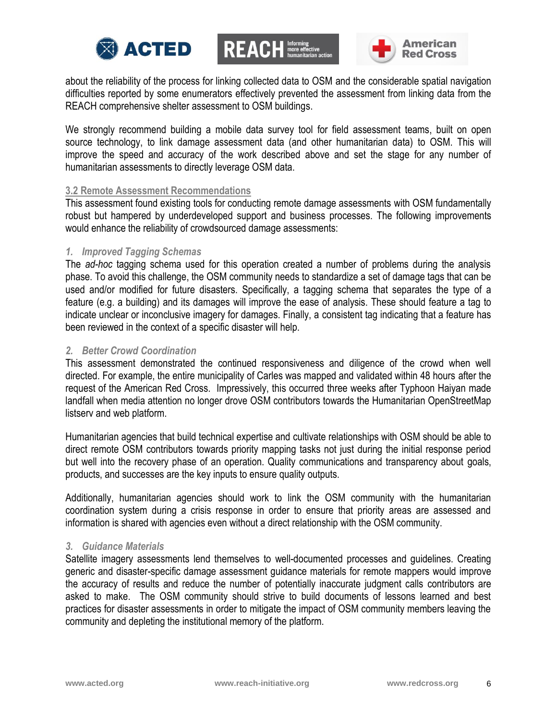





about the reliability of the process for linking collected data to OSM and the considerable spatial navigation difficulties reported by some enumerators effectively prevented the assessment from linking data from the REACH comprehensive shelter assessment to OSM buildings.

We strongly recommend building a mobile data survey tool for field assessment teams, built on open source technology, to link damage assessment data (and other humanitarian data) to OSM. This will improve the speed and accuracy of the work described above and set the stage for any number of humanitarian assessments to directly leverage OSM data.

#### **3.2 Remote Assessment Recommendations**

This assessment found existing tools for conducting remote damage assessments with OSM fundamentally robust but hampered by underdeveloped support and business processes. The following improvements would enhance the reliability of crowdsourced damage assessments:

#### *1. Improved Tagging Schemas*

The *ad-hoc* tagging schema used for this operation created a number of problems during the analysis phase. To avoid this challenge, the OSM community needs to standardize a set of damage tags that can be used and/or modified for future disasters. Specifically, a tagging schema that separates the type of a feature (e.g. a building) and its damages will improve the ease of analysis. These should feature a tag to indicate unclear or inconclusive imagery for damages. Finally, a consistent tag indicating that a feature has been reviewed in the context of a specific disaster will help.

#### *2. Better Crowd Coordination*

This assessment demonstrated the continued responsiveness and diligence of the crowd when well directed. For example, the entire municipality of Carles was mapped and validated within 48 hours after the request of the American Red Cross. Impressively, this occurred three weeks after Typhoon Haiyan made landfall when media attention no longer drove OSM contributors towards the Humanitarian OpenStreetMap listserv and web platform.

Humanitarian agencies that build technical expertise and cultivate relationships with OSM should be able to direct remote OSM contributors towards priority mapping tasks not just during the initial response period but well into the recovery phase of an operation. Quality communications and transparency about goals, products, and successes are the key inputs to ensure quality outputs.

Additionally, humanitarian agencies should work to link the OSM community with the humanitarian coordination system during a crisis response in order to ensure that priority areas are assessed and information is shared with agencies even without a direct relationship with the OSM community.

#### *3. Guidance Materials*

Satellite imagery assessments lend themselves to well-documented processes and guidelines. Creating generic and disaster-specific damage assessment guidance materials for remote mappers would improve the accuracy of results and reduce the number of potentially inaccurate judgment calls contributors are asked to make. The OSM community should strive to build documents of lessons learned and best practices for disaster assessments in order to mitigate the impact of OSM community members leaving the community and depleting the institutional memory of the platform.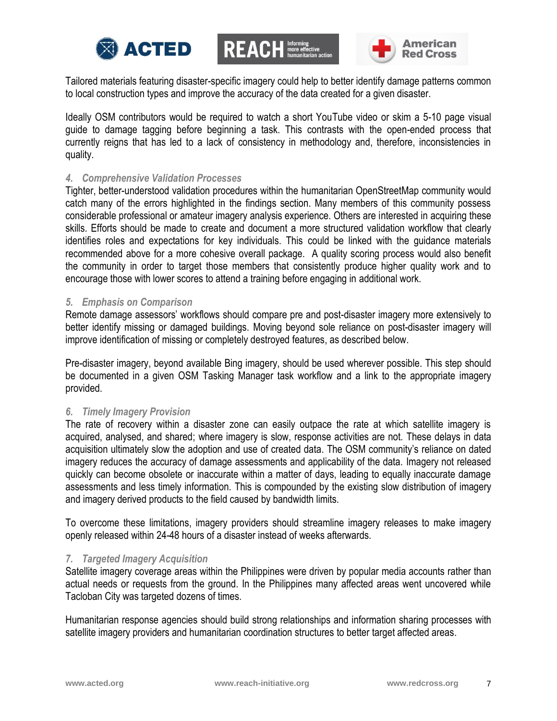





Tailored materials featuring disaster-specific imagery could help to better identify damage patterns common to local construction types and improve the accuracy of the data created for a given disaster.

Ideally OSM contributors would be required to watch a short YouTube video or skim a 5-10 page visual guide to damage tagging before beginning a task. This contrasts with the open-ended process that currently reigns that has led to a lack of consistency in methodology and, therefore, inconsistencies in quality.

#### *4. Comprehensive Validation Processes*

Tighter, better-understood validation procedures within the humanitarian OpenStreetMap community would catch many of the errors highlighted in the findings section. Many members of this community possess considerable professional or amateur imagery analysis experience. Others are interested in acquiring these skills. Efforts should be made to create and document a more structured validation workflow that clearly identifies roles and expectations for key individuals. This could be linked with the guidance materials recommended above for a more cohesive overall package. A quality scoring process would also benefit the community in order to target those members that consistently produce higher quality work and to encourage those with lower scores to attend a training before engaging in additional work.

#### *5. Emphasis on Comparison*

Remote damage assessors' workflows should compare pre and post-disaster imagery more extensively to better identify missing or damaged buildings. Moving beyond sole reliance on post-disaster imagery will improve identification of missing or completely destroyed features, as described below.

Pre-disaster imagery, beyond available Bing imagery, should be used wherever possible. This step should be documented in a given OSM Tasking Manager task workflow and a link to the appropriate imagery provided.

#### *6. Timely Imagery Provision*

The rate of recovery within a disaster zone can easily outpace the rate at which satellite imagery is acquired, analysed, and shared; where imagery is slow, response activities are not. These delays in data acquisition ultimately slow the adoption and use of created data. The OSM community's reliance on dated imagery reduces the accuracy of damage assessments and applicability of the data. Imagery not released quickly can become obsolete or inaccurate within a matter of days, leading to equally inaccurate damage assessments and less timely information. This is compounded by the existing slow distribution of imagery and imagery derived products to the field caused by bandwidth limits.

To overcome these limitations, imagery providers should streamline imagery releases to make imagery openly released within 24-48 hours of a disaster instead of weeks afterwards.

#### *7. Targeted Imagery Acquisition*

Satellite imagery coverage areas within the Philippines were driven by popular media accounts rather than actual needs or requests from the ground. In the Philippines many affected areas went uncovered while Tacloban City was targeted dozens of times.

Humanitarian response agencies should build strong relationships and information sharing processes with satellite imagery providers and humanitarian coordination structures to better target affected areas.